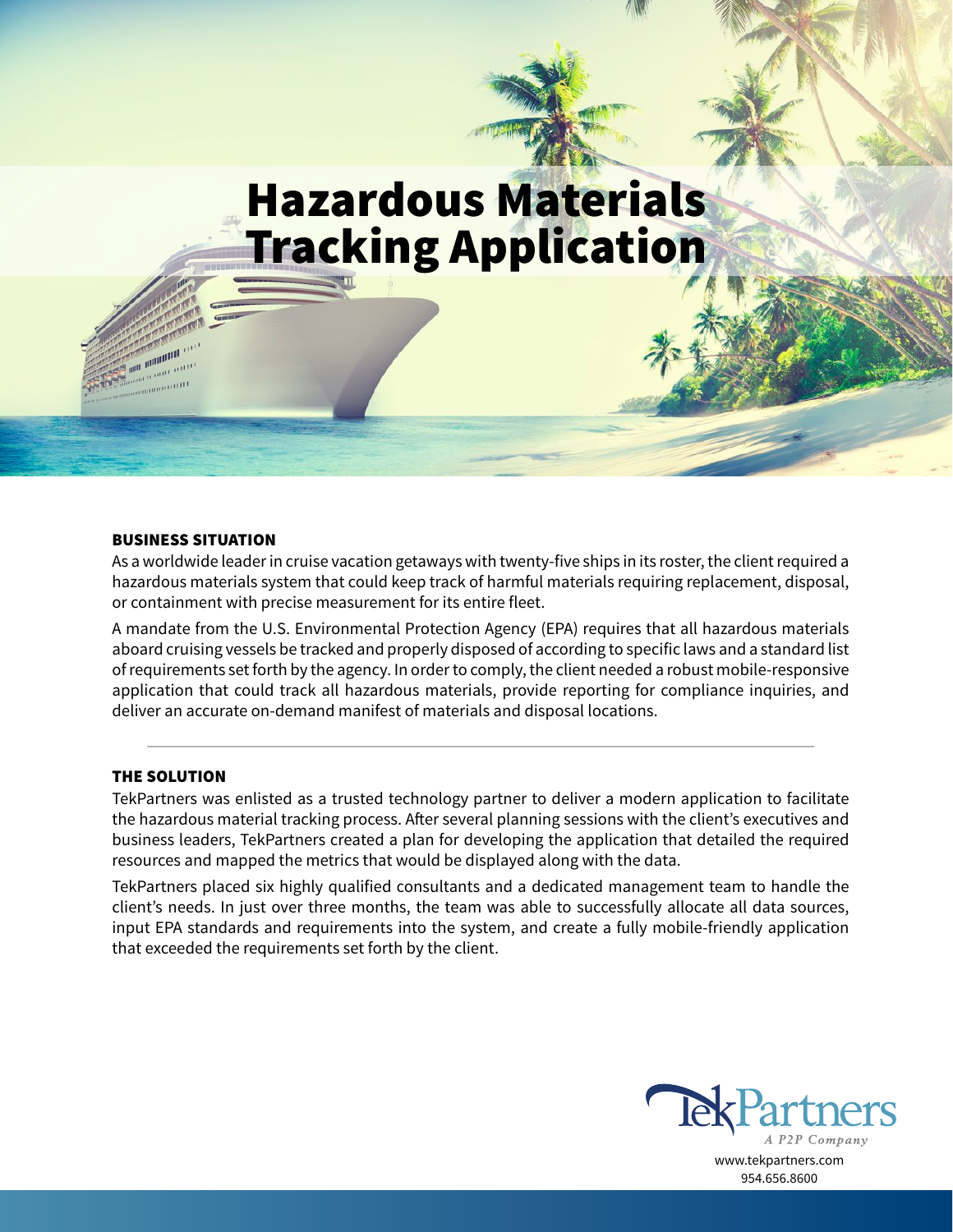# Hazardous Materials Tracking Application

### BUSINESS SITUATION

**ANTIBODI** an man

As a worldwide leader in cruise vacation getaways with twenty-five ships in its roster, the client required a hazardous materials system that could keep track of harmful materials requiring replacement, disposal, or containment with precise measurement for its entire fleet.

A mandate from the U.S. Environmental Protection Agency (EPA) requires that all hazardous materials aboard cruising vessels be tracked and properly disposed of according to specific laws and a standard list of requirements set forth by the agency. In order to comply, the client needed a robust mobile-responsive application that could track all hazardous materials, provide reporting for compliance inquiries, and deliver an accurate on-demand manifest of materials and disposal locations.

## THE SOLUTION

TekPartners was enlisted as a trusted technology partner to deliver a modern application to facilitate the hazardous material tracking process. After several planning sessions with the client's executives and business leaders, TekPartners created a plan for developing the application that detailed the required resources and mapped the metrics that would be displayed along with the data.

TekPartners placed six highly qualified consultants and a dedicated management team to handle the client's needs. In just over three months, the team was able to successfully allocate all data sources, input EPA standards and requirements into the system, and create a fully mobile-friendly application that exceeded the requirements set forth by the client.



www.tekpartners.com 954.656.8600